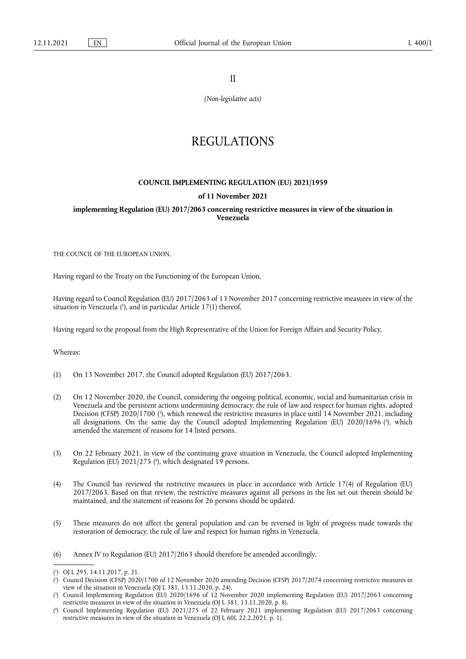II

*(Non-legislative acts)*

## REGULATIONS

## **COUNCIL IMPLEMENTING REGULATION (EU) 2021/1959**

## **of 11 November 2021**

**implementing Regulation (EU) 2017/2063 concerning restrictive measures in view of the situation in Venezuela** 

THE COUNCIL OF THE EUROPEAN UNION,

Having regard to the Treaty on the Functioning of the European Union,

<span id="page-0-4"></span>Having regard to Council Regulation (EU) 2017/2063 of 13 November 2017 concerning restrictive measures in view of the situation in Venezuela [\(](#page-0-0)'), and in particular Article 17(1) thereof,

Having regard to the proposal from the High Representative of the Union for Foreign Affairs and Security Policy,

Whereas:

- (1) On 13 November 2017, the Council adopted Regulation (EU) 2017/2063.
- <span id="page-0-6"></span><span id="page-0-5"></span>(2) On 12 November 2020, the Council, considering the ongoing political, economic, social and humanitarian crisis in Venezuela and the persistent actions undermining democracy, the rule of law and respect for human rights, adopted Decision (CFSP) 2020/1700 (?[\),](#page-0-1) which renewed the restrictive measures in place until 14 November 2021, including all designations. On the same day the Council adopted Implementing Regulation (EU) 2020/1696 (3[\),](#page-0-2) which amended the statement of reasons for 14 listed persons.
- <span id="page-0-7"></span>(3) On 22 February 2021, in view of the continuing grave situation in Venezuela, the Council adopted Implementing Regulation (EU) 2021/275 ( 4 [\),](#page-0-3) which designated 19 persons.
- (4) The Council has reviewed the restrictive measures in place in accordance with Article 17(4) of Regulation (EU) 2017/2063. Based on that review, the restrictive measures against all persons in the list set out therein should be maintained, and the statement of reasons for 26 persons should be updated.
- (5) These measures do not affect the general population and can be reversed in light of progress made towards the restoration of democracy, the rule of law and respect for human rights in Venezuela.

<sup>(6)</sup> Annex IV to Regulation (EU) 2017/2063 should therefore be amended accordingly,

<span id="page-0-0"></span>[<sup>\(</sup>](#page-0-4) 1 ) OJ L 295, 14.11.2017, p. 21.

<span id="page-0-1"></span>[<sup>\(</sup>](#page-0-5) 2 ) Council Decision (CFSP) 2020/1700 of 12 November 2020 amending Decision (CFSP) 2017/2074 concerning restrictive measures in view of the situation in Venezuela (OJ L 381, 13.11.2020, p. 24).

<span id="page-0-2"></span>[<sup>\(</sup>](#page-0-6) 3 ) Council Implementing Regulation (EU) 2020/1696 of 12 November 2020 implementing Regulation (EU) 2017/2063 concerning restrictive measures in view of the situation in Venezuela (OJ L 381, 13.11.2020, p. 8).

<span id="page-0-3"></span>[<sup>\(</sup>](#page-0-7) 4 ) Council Implementing Regulation (EU) 2021/275 of 22 February 2021 implementing Regulation (EU) 2017/2063 concerning restrictive measures in view of the situation in Venezuela (OJ L 60I, 22.2.2021, p. 1).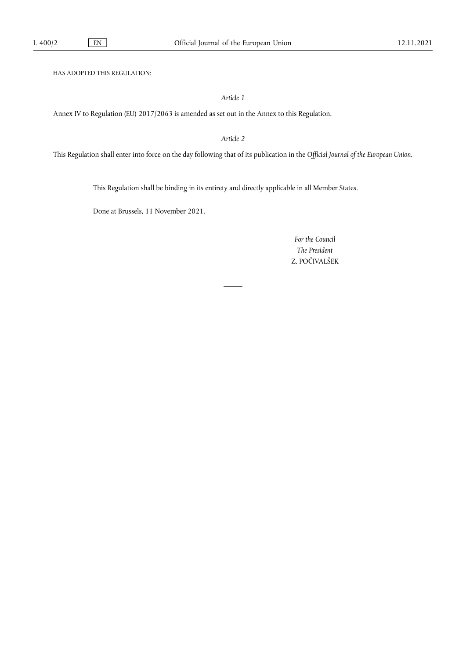HAS ADOPTED THIS REGULATION:

*Article 1*

Annex IV to Regulation (EU) 2017/2063 is amended as set out in the Annex to this Regulation.

*Article 2*

This Regulation shall enter into force on the day following that of its publication in the *Official Journal of the European Union*.

This Regulation shall be binding in its entirety and directly applicable in all Member States.

Done at Brussels, 11 November 2021.

*For the Council The President* Z. POČIVALŠEK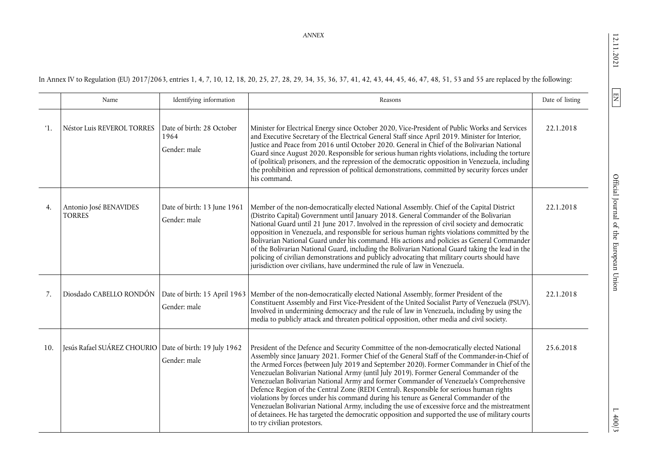12.11.2021

 $\boxed{\text{EN}}$ 

 $1400/3$ 

In Annex IV to Regulation (EU) 2017/2063, entries 1, 4, 7, 10, 12, 18, 20, 25, 27, 28, 29, 34, 35, 36, 37, 41, 42, 43, 44, 45, 46, 47, 48, 51, 53 and 55 are replaced by the following:

|                 | Name                                                      | Identifying information                           | Reasons                                                                                                                                                                                                                                                                                                                                                                                                                                                                                                                                                                                                                                                                                                                                                                                                                                                                                           | Date of listing |
|-----------------|-----------------------------------------------------------|---------------------------------------------------|---------------------------------------------------------------------------------------------------------------------------------------------------------------------------------------------------------------------------------------------------------------------------------------------------------------------------------------------------------------------------------------------------------------------------------------------------------------------------------------------------------------------------------------------------------------------------------------------------------------------------------------------------------------------------------------------------------------------------------------------------------------------------------------------------------------------------------------------------------------------------------------------------|-----------------|
| <sup>'1</sup> . | Néstor Luis REVEROL TORRES                                | Date of birth: 28 October<br>1964<br>Gender: male | Minister for Electrical Energy since October 2020, Vice-President of Public Works and Services<br>and Executive Secretary of the Electrical General Staff since April 2019. Minister for Interior,<br>Justice and Peace from 2016 until October 2020. General in Chief of the Bolivarian National<br>Guard since August 2020. Responsible for serious human rights violations, including the torture<br>of (political) prisoners, and the repression of the democratic opposition in Venezuela, including<br>the prohibition and repression of political demonstrations, committed by security forces under<br>his command.                                                                                                                                                                                                                                                                       | 22.1.2018       |
| 4.              | Antonio José BENAVIDES<br><b>TORRES</b>                   | Date of birth: 13 June 1961<br>Gender: male       | Member of the non-democratically elected National Assembly. Chief of the Capital District<br>(Distrito Capital) Government until January 2018. General Commander of the Bolivarian<br>National Guard until 21 June 2017. Involved in the repression of civil society and democratic<br>opposition in Venezuela, and responsible for serious human rights violations committed by the<br>Bolivarian National Guard under his command. His actions and policies as General Commander<br>of the Bolivarian National Guard, including the Bolivarian National Guard taking the lead in the<br>policing of civilian demonstrations and publicly advocating that military courts should have<br>jurisdiction over civilians, have undermined the rule of law in Venezuela.                                                                                                                              | 22.1.2018       |
| 7.              | Diosdado CABELLO RONDÓN                                   | Date of birth: 15 April 1963<br>Gender: male      | Member of the non-democratically elected National Assembly, former President of the<br>Constituent Assembly and First Vice-President of the United Socialist Party of Venezuela (PSUV).<br>Involved in undermining democracy and the rule of law in Venezuela, including by using the<br>media to publicly attack and threaten political opposition, other media and civil society.                                                                                                                                                                                                                                                                                                                                                                                                                                                                                                               | 22.1.2018       |
| 10.             | Jesús Rafael SUÁREZ CHOURIO   Date of birth: 19 July 1962 | Gender: male                                      | President of the Defence and Security Committee of the non-democratically elected National<br>Assembly since January 2021. Former Chief of the General Staff of the Commander-in-Chief of<br>the Armed Forces (between July 2019 and September 2020). Former Commander in Chief of the<br>Venezuelan Bolivarian National Army (until July 2019). Former General Commander of the<br>Venezuelan Bolivarian National Army and former Commander of Venezuela's Comprehensive<br>Defence Region of the Central Zone (REDI Central). Responsible for serious human rights<br>violations by forces under his command during his tenure as General Commander of the<br>Venezuelan Bolivarian National Army, including the use of excessive force and the mistreatment<br>of detainees. He has targeted the democratic opposition and supported the use of military courts<br>to try civilian protestors. | 25.6.2018       |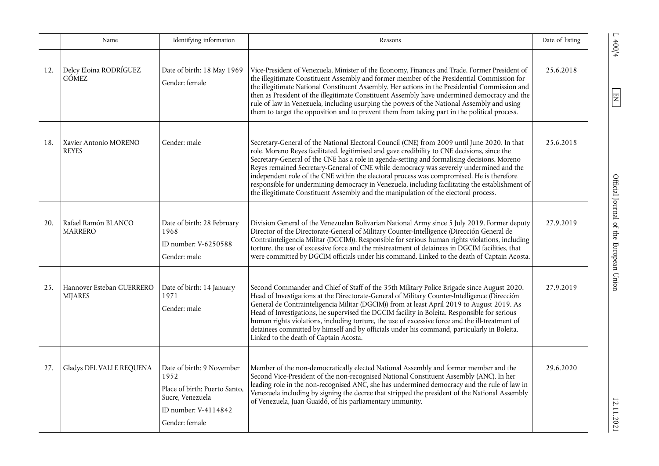|     | Name                                        | Identifying information                                                                                                          | Reasons                                                                                                                                                                                                                                                                                                                                                                                                                                                                                                                                                                                                                                                                        | Date of listing |
|-----|---------------------------------------------|----------------------------------------------------------------------------------------------------------------------------------|--------------------------------------------------------------------------------------------------------------------------------------------------------------------------------------------------------------------------------------------------------------------------------------------------------------------------------------------------------------------------------------------------------------------------------------------------------------------------------------------------------------------------------------------------------------------------------------------------------------------------------------------------------------------------------|-----------------|
| 12. | Delcy Eloina RODRÍGUEZ<br><b>GÓMEZ</b>      | Date of birth: 18 May 1969<br>Gender: female                                                                                     | Vice-President of Venezuela, Minister of the Economy, Finances and Trade. Former President of<br>the illegitimate Constituent Assembly and former member of the Presidential Commission for<br>the illegitimate National Constituent Assembly. Her actions in the Presidential Commission and<br>then as President of the illegitimate Constituent Assembly have undermined democracy and the<br>rule of law in Venezuela, including usurping the powers of the National Assembly and using<br>them to target the opposition and to prevent them from taking part in the political process.                                                                                    | 25.6.2018       |
| 18. | Xavier Antonio MORENO<br><b>REYES</b>       | Gender: male                                                                                                                     | Secretary-General of the National Electoral Council (CNE) from 2009 until June 2020. In that<br>role, Moreno Reyes facilitated, legitimised and gave credibility to CNE decisions, since the<br>Secretary-General of the CNE has a role in agenda-setting and formalising decisions. Moreno<br>Reyes remained Secretary-General of CNE while democracy was severely undermined and the<br>independent role of the CNE within the electoral process was compromised. He is therefore<br>responsible for undermining democracy in Venezuela, including facilitating the establishment of<br>the illegitimate Constituent Assembly and the manipulation of the electoral process. | 25.6.2018       |
| 20. | Rafael Ramón BLANCO<br><b>MARRERO</b>       | Date of birth: 28 February<br>1968<br>ID number: V-6250588<br>Gender: male                                                       | Division General of the Venezuelan Bolivarian National Army since 5 July 2019. Former deputy<br>Director of the Directorate-General of Military Counter-Intelligence (Dirección General de<br>Contrainteligencia Militar (DGCIM)). Responsible for serious human rights violations, including<br>torture, the use of excessive force and the mistreatment of detainees in DGCIM facilities, that<br>were committed by DGCIM officials under his command. Linked to the death of Captain Acosta.                                                                                                                                                                                | 27.9.2019       |
| 25. | Hannover Esteban GUERRERO<br><b>MIJARES</b> | Date of birth: 14 January<br>1971<br>Gender: male                                                                                | Second Commander and Chief of Staff of the 35th Military Police Brigade since August 2020.<br>Head of Investigations at the Directorate-General of Military Counter-Intelligence (Dirección<br>General de Contrainteligencia Militar (DGCIM)) from at least April 2019 to August 2019. As<br>Head of Investigations, he supervised the DGCIM facility in Boleita. Responsible for serious<br>human rights violations, including torture, the use of excessive force and the ill-treatment of<br>detainees committed by himself and by officials under his command, particularly in Boleita.<br>Linked to the death of Captain Acosta.                                          | 27.9.2019       |
| 27. | Gladys DEL VALLE REQUENA                    | Date of birth: 9 November<br>1952<br>Place of birth: Puerto Santo,<br>Sucre, Venezuela<br>ID number: V-4114842<br>Gender: female | Member of the non-democratically elected National Assembly and former member and the<br>Second Vice-President of the non-recognised National Constituent Assembly (ANC). In her<br>leading role in the non-recognised ANC, she has undermined democracy and the rule of law in<br>Venezuela including by signing the decree that stripped the president of the National Assembly<br>of Venezuela, Juan Guaidó, of his parliamentary immunity.                                                                                                                                                                                                                                  | 29.6.2020       |

 $\frac{100}{4}$  and  $\frac{100}{4}$  and  $\frac{100}{4}$  and  $\frac{100}{4}$  and  $\frac{100}{4}$  and  $\frac{100}{4}$  and  $\frac{100}{4}$  and  $\frac{100}{4}$  and  $\frac{100}{4}$  and  $\frac{100}{4}$  and  $\frac{100}{4}$  and  $\frac{100}{4}$  and  $\frac{100}{4}$  and  $\frac{100}{4}$  a Official Journal of the European Union

 $1400/4$ 

 $\boxed{\text{N} }$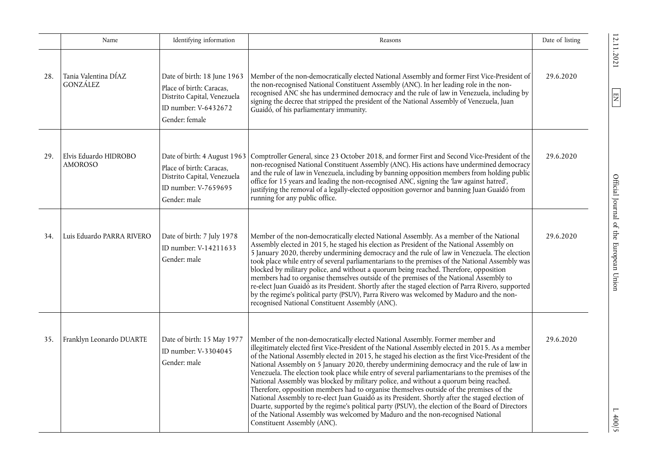|     | Name                                    | Identifying information                                                                                                          | Reasons                                                                                                                                                                                                                                                                                                                                                                                                                                                                                                                                                                                                                                                                                                                                                                                                                                                                                                                                                                                                   | Date of listing |
|-----|-----------------------------------------|----------------------------------------------------------------------------------------------------------------------------------|-----------------------------------------------------------------------------------------------------------------------------------------------------------------------------------------------------------------------------------------------------------------------------------------------------------------------------------------------------------------------------------------------------------------------------------------------------------------------------------------------------------------------------------------------------------------------------------------------------------------------------------------------------------------------------------------------------------------------------------------------------------------------------------------------------------------------------------------------------------------------------------------------------------------------------------------------------------------------------------------------------------|-----------------|
| 28. | Tania Valentina DÍAZ<br>GONZÁLEZ        | Date of birth: 18 June 1963<br>Place of birth: Caracas,<br>Distrito Capital, Venezuela<br>ID number: V-6432672<br>Gender: female | Member of the non-democratically elected National Assembly and former First Vice-President of<br>the non-recognised National Constituent Assembly (ANC). In her leading role in the non-<br>recognised ANC she has undermined democracy and the rule of law in Venezuela, including by<br>signing the decree that stripped the president of the National Assembly of Venezuela, Juan<br>Guaidó, of his parliamentary immunity.                                                                                                                                                                                                                                                                                                                                                                                                                                                                                                                                                                            | 29.6.2020       |
| 29. | Elvis Eduardo HIDROBO<br><b>AMOROSO</b> | Place of birth: Caracas,<br>Distrito Capital, Venezuela<br>ID number: V-7659695<br>Gender: male                                  | Date of birth: 4 August 1963 Comptroller General, since 23 October 2018, and former First and Second Vice-President of the<br>non-recognised National Constituent Assembly (ANC). His actions have undermined democracy<br>and the rule of law in Venezuela, including by banning opposition members from holding public<br>office for 15 years and leading the non-recognised ANC, signing the 'law against hatred',<br>justifying the removal of a legally-elected opposition governor and banning Juan Guaidó from<br>running for any public office.                                                                                                                                                                                                                                                                                                                                                                                                                                                   | 29.6.2020       |
| 34. | Luis Eduardo PARRA RIVERO               | Date of birth: 7 July 1978<br>ID number: V-14211633<br>Gender: male                                                              | Member of the non-democratically elected National Assembly. As a member of the National<br>Assembly elected in 2015, he staged his election as President of the National Assembly on<br>5 January 2020, thereby undermining democracy and the rule of law in Venezuela. The election<br>took place while entry of several parliamentarians to the premises of the National Assembly was<br>blocked by military police, and without a quorum being reached. Therefore, opposition<br>members had to organise themselves outside of the premises of the National Assembly to<br>re-elect Juan Guaido as its President. Shortly after the staged election of Parra Rivero, supported<br>by the regime's political party (PSUV), Parra Rivero was welcomed by Maduro and the non-<br>recognised National Constituent Assembly (ANC).                                                                                                                                                                          | 29.6.2020       |
| 35. | Franklyn Leonardo DUARTE                | Date of birth: 15 May 1977<br>ID number: V-3304045<br>Gender: male                                                               | Member of the non-democratically elected National Assembly. Former member and<br>illegitimately elected first Vice-President of the National Assembly elected in 2015. As a member<br>of the National Assembly elected in 2015, he staged his election as the first Vice-President of the<br>National Assembly on 5 January 2020, thereby undermining democracy and the rule of law in<br>Venezuela. The election took place while entry of several parliamentarians to the premises of the<br>National Assembly was blocked by military police, and without a quorum being reached.<br>Therefore, opposition members had to organise themselves outside of the premises of the<br>National Assembly to re-elect Juan Guaido as its President. Shortly after the staged election of<br>Duarte, supported by the regime's political party (PSUV), the election of the Board of Directors<br>of the National Assembly was welcomed by Maduro and the non-recognised National<br>Constituent Assembly (ANC). | 29.6.2020       |

 $\frac{12.11.2021}{ }$ 

 $\boxed{\Xi}$ 

EN Official Journal of the European Union 12.11.2021 L 400/5 Official Journal of the European Union

 $L \frac{400}{5}$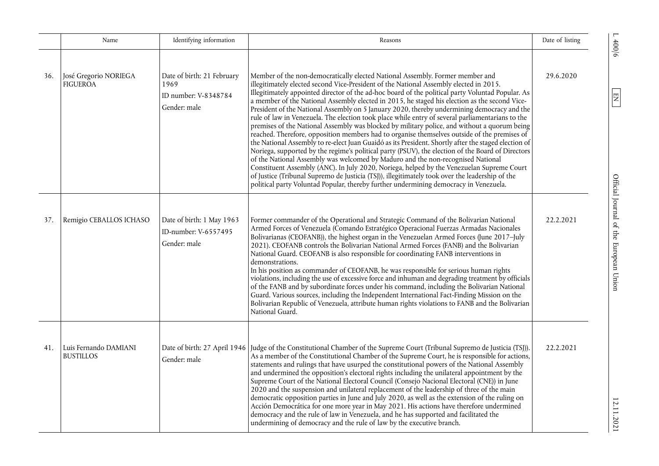|     | Name                                      | Identifying information                                                    | Reasons                                                                                                                                                                                                                                                                                                                                                                                                                                                                                                                                                                                                                                                                                                                                                                                                                                                                                                                                                                                                                                                                                                                                                                                                                                                                                                                                                                   | Date of listing |
|-----|-------------------------------------------|----------------------------------------------------------------------------|---------------------------------------------------------------------------------------------------------------------------------------------------------------------------------------------------------------------------------------------------------------------------------------------------------------------------------------------------------------------------------------------------------------------------------------------------------------------------------------------------------------------------------------------------------------------------------------------------------------------------------------------------------------------------------------------------------------------------------------------------------------------------------------------------------------------------------------------------------------------------------------------------------------------------------------------------------------------------------------------------------------------------------------------------------------------------------------------------------------------------------------------------------------------------------------------------------------------------------------------------------------------------------------------------------------------------------------------------------------------------|-----------------|
| 36. | José Gregorio NORIEGA<br><b>FIGUEROA</b>  | Date of birth: 21 February<br>1969<br>ID number: V-8348784<br>Gender: male | Member of the non-democratically elected National Assembly. Former member and<br>illegitimately elected second Vice-President of the National Assembly elected in 2015.<br>Illegitimately appointed director of the ad-hoc board of the political party Voluntad Popular. As<br>a member of the National Assembly elected in 2015, he staged his election as the second Vice-<br>President of the National Assembly on 5 January 2020, thereby undermining democracy and the<br>rule of law in Venezuela. The election took place while entry of several parliamentarians to the<br>premises of the National Assembly was blocked by military police, and without a quorum being<br>reached. Therefore, opposition members had to organise themselves outside of the premises of<br>the National Assembly to re-elect Juan Guaidó as its President. Shortly after the staged election of<br>Noriega, supported by the regime's political party (PSUV), the election of the Board of Directors<br>of the National Assembly was welcomed by Maduro and the non-recognised National<br>Constituent Assembly (ANC). In July 2020, Noriega, helped by the Venezuelan Supreme Court<br>of Justice (Tribunal Supremo de Justicia (TSJ)), illegitimately took over the leadership of the<br>political party Voluntad Popular, thereby further undermining democracy in Venezuela. | 29.6.2020       |
| 37. | Remigio CEBALLOS ICHASO                   | Date of birth: 1 May 1963<br>ID-number: V-6557495<br>Gender: male          | Former commander of the Operational and Strategic Command of the Bolivarian National<br>Armed Forces of Venezuela (Comando Estratégico Operacional Fuerzas Armadas Nacionales<br>Bolivarianas (CEOFANB)), the highest organ in the Venezuelan Armed Forces (June 2017-July<br>2021). CEOFANB controls the Bolivarian National Armed Forces (FANB) and the Bolivarian<br>National Guard. CEOFANB is also responsible for coordinating FANB interventions in<br>demonstrations.<br>In his position as commander of CEOFANB, he was responsible for serious human rights<br>violations, including the use of excessive force and inhuman and degrading treatment by officials<br>of the FANB and by subordinate forces under his command, including the Bolivarian National<br>Guard. Various sources, including the Independent International Fact-Finding Mission on the<br>Bolivarian Republic of Venezuela, attribute human rights violations to FANB and the Bolivarian<br>National Guard.                                                                                                                                                                                                                                                                                                                                                                              | 22.2.2021       |
| 41. | Luis Fernando DAMIANI<br><b>BUSTILLOS</b> | Gender: male                                                               | Date of birth: 27 April 1946 Judge of the Constitutional Chamber of the Supreme Court (Tribunal Supremo de Justicia (TSJ)).<br>As a member of the Constitutional Chamber of the Supreme Court, he is responsible for actions,<br>statements and rulings that have usurped the constitutional powers of the National Assembly<br>and undermined the opposition's electoral rights including the unilateral appointment by the<br>Supreme Court of the National Electoral Council (Consejo Nacional Electoral (CNE)) in June<br>2020 and the suspension and unilateral replacement of the leadership of three of the main<br>democratic opposition parties in June and July 2020, as well as the extension of the ruling on<br>Acción Democrática for one more year in May 2021. His actions have therefore undermined<br>democracy and the rule of law in Venezuela, and he has supported and facilitated the<br>undermining of democracy and the rule of law by the executive branch.                                                                                                                                                                                                                                                                                                                                                                                     | 22.2.2021       |

 $E_A = 121112021$   $E_A = 121112021$   $E_B = 12112021$   $E_B = 12112021$   $E_B = 12112021$   $E_B = 12112021$   $E_B = 12112021$   $E_B = 12112021$   $E_B = 12112021$   $E_B = 12112021$   $E_B = 12112021$   $E_B = 12112021$   $E_B = 12112021$   $E_B = 12112021$   $E_B = 1211$ Official Journal of the European Union

 $\frac{1}{200/6}$ 

 $\boxed{\text{N} }$ 

12.11.2021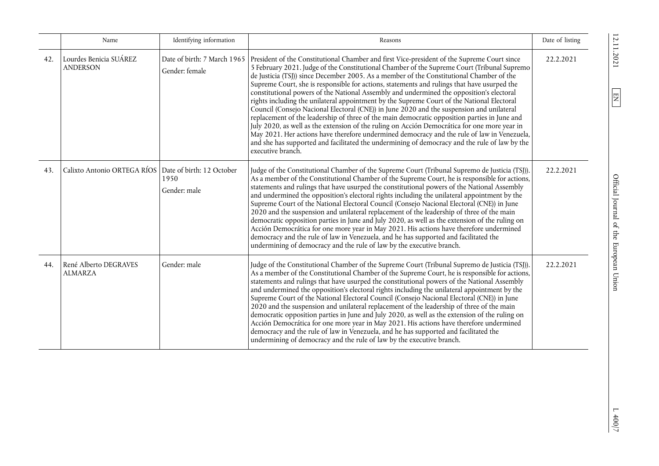|     | Name                                                    | Identifying information                       | Reasons                                                                                                                                                                                                                                                                                                                                                                                                                                                                                                                                                                                                                                                                                                                                                                                                                                                                                                                                                                                                                                                                                           | Date of listing |
|-----|---------------------------------------------------------|-----------------------------------------------|---------------------------------------------------------------------------------------------------------------------------------------------------------------------------------------------------------------------------------------------------------------------------------------------------------------------------------------------------------------------------------------------------------------------------------------------------------------------------------------------------------------------------------------------------------------------------------------------------------------------------------------------------------------------------------------------------------------------------------------------------------------------------------------------------------------------------------------------------------------------------------------------------------------------------------------------------------------------------------------------------------------------------------------------------------------------------------------------------|-----------------|
| 42. | Lourdes Benicia SUÁREZ<br><b>ANDERSON</b>               | Date of birth: 7 March 1965<br>Gender: female | President of the Constitutional Chamber and first Vice-president of the Supreme Court since<br>5 February 2021. Judge of the Constitutional Chamber of the Supreme Court (Tribunal Supremo<br>de Justicia (TSJ)) since December 2005. As a member of the Constitutional Chamber of the<br>Supreme Court, she is responsible for actions, statements and rulings that have usurped the<br>constitutional powers of the National Assembly and undermined the opposition's electoral<br>rights including the unilateral appointment by the Supreme Court of the National Electoral<br>Council (Consejo Nacional Electoral (CNE)) in June 2020 and the suspension and unilateral<br>replacement of the leadership of three of the main democratic opposition parties in June and<br>July 2020, as well as the extension of the ruling on Acción Democrática for one more year in<br>May 2021. Her actions have therefore undermined democracy and the rule of law in Venezuela,<br>and she has supported and facilitated the undermining of democracy and the rule of law by the<br>executive branch. | 22.2.2021       |
| 43. | Calixto Antonio ORTEGA RÍOS   Date of birth: 12 October | 1950<br>Gender: male                          | Judge of the Constitutional Chamber of the Supreme Court (Tribunal Supremo de Justicia (TSJ)).<br>As a member of the Constitutional Chamber of the Supreme Court, he is responsible for actions,<br>statements and rulings that have usurped the constitutional powers of the National Assembly<br>and undermined the opposition's electoral rights including the unilateral appointment by the<br>Supreme Court of the National Electoral Council (Consejo Nacional Electoral (CNE)) in June<br>2020 and the suspension and unilateral replacement of the leadership of three of the main<br>democratic opposition parties in June and July 2020, as well as the extension of the ruling on<br>Acción Democrática for one more year in May 2021. His actions have therefore undermined<br>democracy and the rule of law in Venezuela, and he has supported and facilitated the<br>undermining of democracy and the rule of law by the executive branch.                                                                                                                                          | 22.2.2021       |
| 44. | René Alberto DEGRAVES<br><b>ALMARZA</b>                 | Gender: male                                  | Judge of the Constitutional Chamber of the Supreme Court (Tribunal Supremo de Justicia (TSJ)).<br>As a member of the Constitutional Chamber of the Supreme Court, he is responsible for actions,<br>statements and rulings that have usurped the constitutional powers of the National Assembly<br>and undermined the opposition's electoral rights including the unilateral appointment by the<br>Supreme Court of the National Electoral Council (Consejo Nacional Electoral (CNE)) in June<br>2020 and the suspension and unilateral replacement of the leadership of three of the main<br>democratic opposition parties in June and July 2020, as well as the extension of the ruling on<br>Acción Democrática for one more year in May 2021. His actions have therefore undermined<br>democracy and the rule of law in Venezuela, and he has supported and facilitated the<br>undermining of democracy and the rule of law by the executive branch.                                                                                                                                          | 22.2.2021       |

 $\frac{12.11.2021}{ }$ 

 $\boxed{\text{EN}}$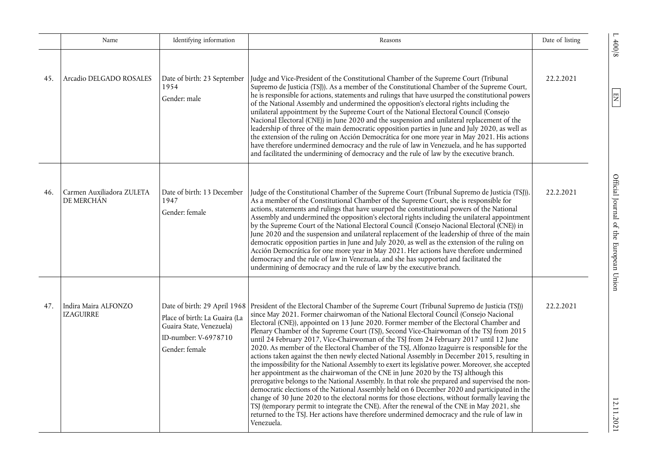|     | Name                                     | Identifying information                                                                                                             | Reasons                                                                                                                                                                                                                                                                                                                                                                                                                                                                                                                                                                                                                                                                                                                                                                                                                                                                                                                                                                                                                                                                                                                                                                                                                                                                                                                                                                               | Date of listing |
|-----|------------------------------------------|-------------------------------------------------------------------------------------------------------------------------------------|---------------------------------------------------------------------------------------------------------------------------------------------------------------------------------------------------------------------------------------------------------------------------------------------------------------------------------------------------------------------------------------------------------------------------------------------------------------------------------------------------------------------------------------------------------------------------------------------------------------------------------------------------------------------------------------------------------------------------------------------------------------------------------------------------------------------------------------------------------------------------------------------------------------------------------------------------------------------------------------------------------------------------------------------------------------------------------------------------------------------------------------------------------------------------------------------------------------------------------------------------------------------------------------------------------------------------------------------------------------------------------------|-----------------|
| 45. | Arcadio DELGADO ROSALES                  | Date of birth: 23 September<br>1954<br>Gender: male                                                                                 | Judge and Vice-President of the Constitutional Chamber of the Supreme Court (Tribunal<br>Supremo de Justicia (TSJ)). As a member of the Constitutional Chamber of the Supreme Court,<br>he is responsible for actions, statements and rulings that have usurped the constitutional powers<br>of the National Assembly and undermined the opposition's electoral rights including the<br>unilateral appointment by the Supreme Court of the National Electoral Council (Consejo<br>Nacional Electoral (CNE)) in June 2020 and the suspension and unilateral replacement of the<br>leadership of three of the main democratic opposition parties in June and July 2020, as well as<br>the extension of the ruling on Acción Democrática for one more year in May 2021. His actions<br>have therefore undermined democracy and the rule of law in Venezuela, and he has supported<br>and facilitated the undermining of democracy and the rule of law by the executive branch.                                                                                                                                                                                                                                                                                                                                                                                                           | 22.2.2021       |
| 46. | Carmen Auxiliadora ZULETA<br>DE MERCHÁN  | Date of birth: 13 December<br>1947<br>Gender: female                                                                                | Judge of the Constitutional Chamber of the Supreme Court (Tribunal Supremo de Justicia (TSJ)).<br>As a member of the Constitutional Chamber of the Supreme Court, she is responsible for<br>actions, statements and rulings that have usurped the constitutional powers of the National<br>Assembly and undermined the opposition's electoral rights including the unilateral appointment<br>by the Supreme Court of the National Electoral Council (Consejo Nacional Electoral (CNE)) in<br>June 2020 and the suspension and unilateral replacement of the leadership of three of the main<br>democratic opposition parties in June and July 2020, as well as the extension of the ruling on<br>Acción Democrática for one more year in May 2021. Her actions have therefore undermined<br>democracy and the rule of law in Venezuela, and she has supported and facilitated the<br>undermining of democracy and the rule of law by the executive branch.                                                                                                                                                                                                                                                                                                                                                                                                                            | 22.2.2021       |
| 47. | Indira Maira ALFONZO<br><b>IZAGUIRRE</b> | Date of birth: 29 April 1968<br>Place of birth: La Guaira (La<br>Guaira State, Venezuela)<br>ID-number: V-6978710<br>Gender: female | President of the Electoral Chamber of the Supreme Court (Tribunal Supremo de Justicia (TSJ))<br>since May 2021. Former chairwoman of the National Electoral Council (Consejo Nacional<br>Electoral (CNE)), appointed on 13 June 2020. Former member of the Electoral Chamber and<br>Plenary Chamber of the Supreme Court (TSJ), Second Vice-Chairwoman of the TSJ from 2015<br>until 24 February 2017, Vice-Chairwoman of the TSJ from 24 February 2017 until 12 June<br>2020. As member of the Electoral Chamber of the TSJ, Alfonzo Izaguirre is responsible for the<br>actions taken against the then newly elected National Assembly in December 2015, resulting in<br>the impossibility for the National Assembly to exert its legislative power. Moreover, she accepted<br>her appointment as the chairwoman of the CNE in June 2020 by the TSJ although this<br>prerogative belongs to the National Assembly. In that role she prepared and supervised the non-<br>democratic elections of the National Assembly held on 6 December 2020 and participated in the<br>change of 30 June 2020 to the electoral norms for those elections, without formally leaving the<br>TSJ (temporary permit to integrate the CNE). After the renewal of the CNE in May 2021, she<br>returned to the TSJ. Her actions have therefore undermined democracy and the rule of law in<br>Venezuela. | 22.2.2021       |

 $E = \frac{1}{2}$  and  $E = \frac{1}{2}$  and  $E = \frac{1}{2}$  and  $E = \frac{1}{2}$  and  $E = \frac{1}{2}$  and  $E = \frac{1}{2}$  and  $E = \frac{1}{2}$  and  $E = \frac{1}{2}$  and  $E = \frac{1}{2}$  and  $E = \frac{1}{2}$  and  $E = \frac{1}{2}$  and  $E = \frac{1}{2}$  and  $E = \frac{1}{2}$  and  $E = \frac{1}{2}$  a Official Journal of the European Union

 $\frac{1}{2}$  400/8

 $\boxed{\text{N} }$ 

12.11.2021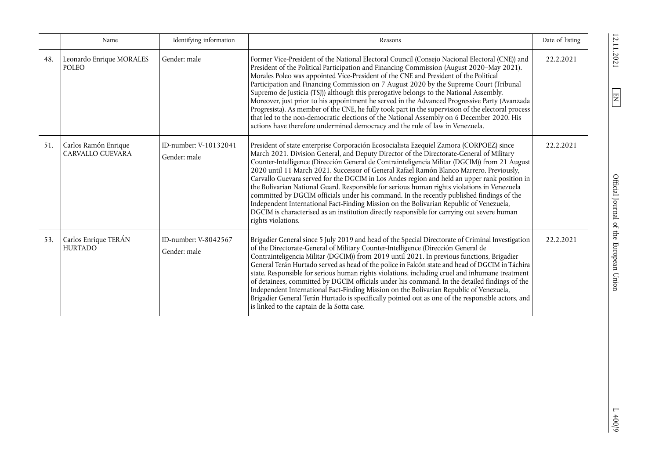|     | Name                                     | Identifying information               | Reasons                                                                                                                                                                                                                                                                                                                                                                                                                                                                                                                                                                                                                                                                                                                                                                                                                                                                                     | Date of listing |
|-----|------------------------------------------|---------------------------------------|---------------------------------------------------------------------------------------------------------------------------------------------------------------------------------------------------------------------------------------------------------------------------------------------------------------------------------------------------------------------------------------------------------------------------------------------------------------------------------------------------------------------------------------------------------------------------------------------------------------------------------------------------------------------------------------------------------------------------------------------------------------------------------------------------------------------------------------------------------------------------------------------|-----------------|
| 48. | Leonardo Enrique MORALES<br><b>POLEO</b> | Gender: male                          | Former Vice-President of the National Electoral Council (Consejo Nacional Electoral (CNE)) and<br>President of the Political Participation and Financing Commission (August 2020–May 2021).<br>Morales Poleo was appointed Vice-President of the CNE and President of the Political<br>Participation and Financing Commission on 7 August 2020 by the Supreme Court (Tribunal<br>Supremo de Justicia (TSJ)) although this prerogative belongs to the National Assembly.<br>Moreover, just prior to his appointment he served in the Advanced Progressive Party (Avanzada<br>Progresista). As member of the CNE, he fully took part in the supervision of the electoral process<br>that led to the non-democratic elections of the National Assembly on 6 December 2020. His<br>actions have therefore undermined democracy and the rule of law in Venezuela.                                | 22.2.2021       |
| 51. | Carlos Ramón Enrique<br>CARVALLO GUEVARA | ID-number: V-10132041<br>Gender: male | President of state enterprise Corporación Ecosocialista Ezequiel Zamora (CORPOEZ) since<br>March 2021. Division General, and Deputy Director of the Directorate-General of Military<br>Counter-Intelligence (Dirección General de Contrainteligencia Militar (DGCIM)) from 21 August<br>2020 until 11 March 2021. Successor of General Rafael Ramón Blanco Marrero. Previously,<br>Carvallo Guevara served for the DGCIM in Los Andes region and held an upper rank position in<br>the Bolivarian National Guard. Responsible for serious human rights violations in Venezuela<br>committed by DGCIM officials under his command. In the recently published findings of the<br>Independent International Fact-Finding Mission on the Bolivarian Republic of Venezuela,<br>DGCIM is characterised as an institution directly responsible for carrying out severe human<br>rights violations. | 22.2.2021       |
| 53. | Carlos Enrique TERÁN<br><b>HURTADO</b>   | ID-number: V-8042567<br>Gender: male  | Brigadier General since 5 July 2019 and head of the Special Directorate of Criminal Investigation<br>of the Directorate-General of Military Counter-Intelligence (Dirección General de<br>Contrainteligencia Militar (DGCIM)) from 2019 until 2021. In previous functions, Brigadier<br>General Terán Hurtado served as head of the police in Falcón state and head of DGCIM in Táchira<br>state. Responsible for serious human rights violations, including cruel and inhumane treatment<br>of detainees, committed by DGCIM officials under his command. In the detailed findings of the<br>Independent International Fact-Finding Mission on the Bolivarian Republic of Venezuela,<br>Brigadier General Terán Hurtado is specifically pointed out as one of the responsible actors, and<br>is linked to the captain de la Sotta case.                                                    | 22.2.2021       |

 $\frac{1}{2}$  400/9